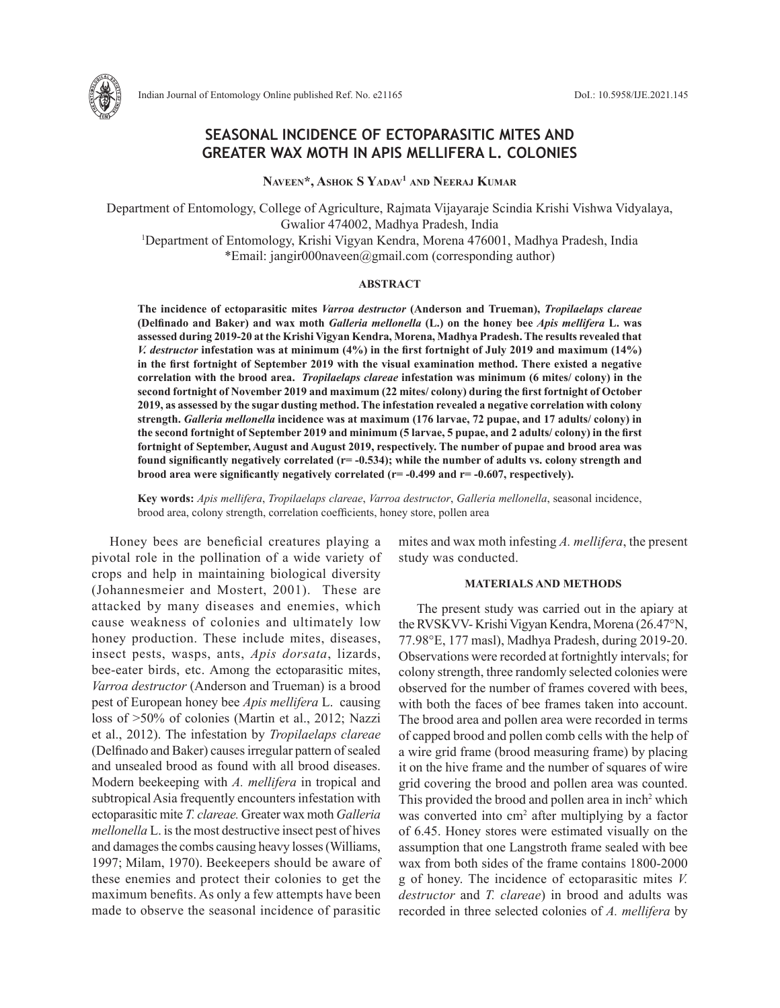

# **SEASONAL INCIDENCE OF ECTOPARASITIC MITES AND GREATER WAX MOTH IN APIS MELLIFERA L. COLONIES**

**Naveen\*, Ashok S Yadav1 and Neeraj Kumar**

Department of Entomology, College of Agriculture, Rajmata Vijayaraje Scindia Krishi Vishwa Vidyalaya, Gwalior 474002, Madhya Pradesh, India 1 Department of Entomology, Krishi Vigyan Kendra, Morena 476001, Madhya Pradesh, India \*Email: jangir000naveen@gmail.com (corresponding author)

### **ABSTRACT**

**The incidence of ectoparasitic mites** *Varroa destructor* **(Anderson and Trueman),** *Tropilaelaps clareae*  **(Delfinado and Baker) and wax moth** *Galleria mellonella* **(L.) on the honey bee** *Apis mellifera* **L. was assessed during 2019-20 at the Krishi Vigyan Kendra, Morena, Madhya Pradesh. The results revealed that**  *V. destructor* **infestation was at minimum (4%) in the first fortnight of July 2019 and maximum (14%) in the first fortnight of September 2019 with the visual examination method. There existed a negative correlation with the brood area.** *Tropilaelaps clareae* **infestation was minimum (6 mites/ colony) in the second fortnight of November 2019 and maximum (22 mites/ colony) during the first fortnight of October 2019, as assessed by the sugar dusting method. The infestation revealed a negative correlation with colony strength.** *Galleria mellonella* **incidence was at maximum (176 larvae, 72 pupae, and 17 adults/ colony) in the second fortnight of September 2019 and minimum (5 larvae, 5 pupae, and 2 adults/ colony) in the first fortnight of September, August and August 2019, respectively. The number of pupae and brood area was found significantly negatively correlated (r= -0.534); while the number of adults vs. colony strength and brood area were significantly negatively correlated (r= -0.499 and r= -0.607, respectively).** 

**Key words:** *Apis mellifera*, *Tropilaelaps clareae*, *Varroa destructor*, *Galleria mellonella*, seasonal incidence, brood area, colony strength, correlation coefficients, honey store, pollen area

Honey bees are beneficial creatures playing a pivotal role in the pollination of a wide variety of crops and help in maintaining biological diversity (Johannesmeier and Mostert, 2001). These are attacked by many diseases and enemies, which cause weakness of colonies and ultimately low honey production. These include mites, diseases, insect pests, wasps, ants, *Apis dorsata*, lizards, bee-eater birds, etc. Among the ectoparasitic mites, *Varroa destructor* (Anderson and Trueman) is a brood pest of European honey bee *Apis mellifera* L. causing loss of >50% of colonies (Martin et al., 2012; Nazzi et al., 2012). The infestation by *Tropilaelaps clareae*  (Delfinado and Baker) causes irregular pattern of sealed and unsealed brood as found with all brood diseases. Modern beekeeping with *A. mellifera* in tropical and subtropical Asia frequently encounters infestation with ectoparasitic mite *T. clareae.* Greater wax moth *Galleria mellonella* L. is the most destructive insect pest of hives and damages the combs causing heavy losses (Williams, 1997; Milam, 1970). Beekeepers should be aware of these enemies and protect their colonies to get the maximum benefits. As only a few attempts have been made to observe the seasonal incidence of parasitic mites and wax moth infesting *A. mellifera*, the present study was conducted.

#### **MATERIALS AND METHODS**

The present study was carried out in the apiary at the RVSKVV- Krishi Vigyan Kendra, Morena (26.47°N, 77.98°E, 177 masl), Madhya Pradesh, during 2019-20. Observations were recorded at fortnightly intervals; for colony strength, three randomly selected colonies were observed for the number of frames covered with bees, with both the faces of bee frames taken into account. The brood area and pollen area were recorded in terms of capped brood and pollen comb cells with the help of a wire grid frame (brood measuring frame) by placing it on the hive frame and the number of squares of wire grid covering the brood and pollen area was counted. This provided the brood and pollen area in inch<sup>2</sup> which was converted into cm<sup>2</sup> after multiplying by a factor of 6.45. Honey stores were estimated visually on the assumption that one Langstroth frame sealed with bee wax from both sides of the frame contains 1800-2000 g of honey. The incidence of ectoparasitic mites *V. destructor* and *T. clareae*) in brood and adults was recorded in three selected colonies of *A. mellifera* by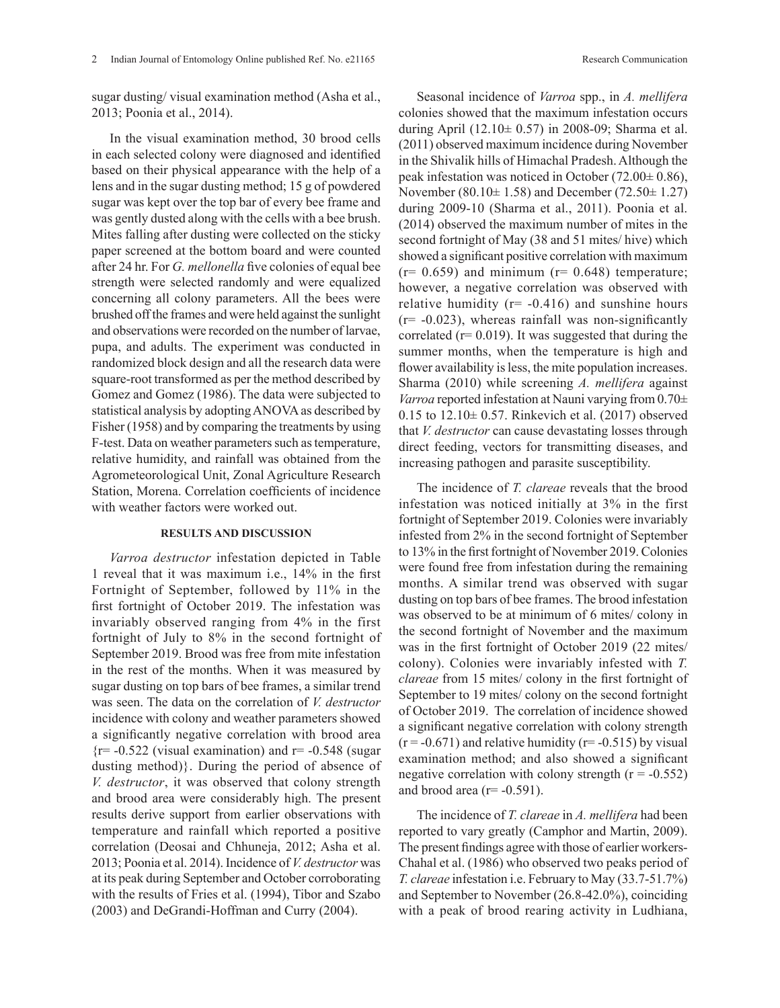sugar dusting/ visual examination method (Asha et al., 2013; Poonia et al., 2014).

In the visual examination method, 30 brood cells in each selected colony were diagnosed and identified based on their physical appearance with the help of a lens and in the sugar dusting method; 15 g of powdered sugar was kept over the top bar of every bee frame and was gently dusted along with the cells with a bee brush. Mites falling after dusting were collected on the sticky paper screened at the bottom board and were counted after 24 hr. For *G. mellonella* five colonies of equal bee strength were selected randomly and were equalized concerning all colony parameters. All the bees were brushed off the frames and were held against the sunlight and observations were recorded on the number of larvae, pupa, and adults. The experiment was conducted in randomized block design and all the research data were square-root transformed as per the method described by Gomez and Gomez (1986). The data were subjected to statistical analysis by adopting ANOVA as described by Fisher (1958) and by comparing the treatments by using F-test. Data on weather parameters such as temperature, relative humidity, and rainfall was obtained from the Agrometeorological Unit, Zonal Agriculture Research Station, Morena. Correlation coefficients of incidence with weather factors were worked out.

## **RESULTS AND DISCUSSION**

*Varroa destructor* infestation depicted in Table 1 reveal that it was maximum i.e., 14% in the first Fortnight of September, followed by 11% in the first fortnight of October 2019. The infestation was invariably observed ranging from 4% in the first fortnight of July to 8% in the second fortnight of September 2019. Brood was free from mite infestation in the rest of the months. When it was measured by sugar dusting on top bars of bee frames, a similar trend was seen. The data on the correlation of *V. destructor* incidence with colony and weather parameters showed a significantly negative correlation with brood area  ${r=-0.522}$  (visual examination) and  $r=-0.548$  (sugar dusting method)}. During the period of absence of *V. destructor*, it was observed that colony strength and brood area were considerably high. The present results derive support from earlier observations with temperature and rainfall which reported a positive correlation (Deosai and Chhuneja, 2012; Asha et al. 2013; Poonia et al. 2014). Incidence of *V. destructor* was at its peak during September and October corroborating with the results of Fries et al. (1994), Tibor and Szabo (2003) and DeGrandi-Hoffman and Curry (2004).

Seasonal incidence of *Varroa* spp., in *A. mellifera* colonies showed that the maximum infestation occurs during April (12.10 $\pm$  0.57) in 2008-09; Sharma et al. (2011) observed maximum incidence during November in the Shivalik hills of Himachal Pradesh. Although the peak infestation was noticed in October (72.00± 0.86), November (80.10± 1.58) and December (72.50± 1.27) during 2009-10 (Sharma et al., 2011). Poonia et al. (2014) observed the maximum number of mites in the second fortnight of May (38 and 51 mites/ hive) which showed a significant positive correlation with maximum  $(r= 0.659)$  and minimum  $(r= 0.648)$  temperature; however, a negative correlation was observed with relative humidity ( $r = -0.416$ ) and sunshine hours  $(r=-0.023)$ , whereas rainfall was non-significantly correlated  $(r= 0.019)$ . It was suggested that during the summer months, when the temperature is high and flower availability is less, the mite population increases. Sharma (2010) while screening *A. mellifera* against *Varroa* reported infestation at Nauni varying from 0.70± 0.15 to  $12.10 \pm 0.57$ . Rinkevich et al. (2017) observed that *V. destructor* can cause devastating losses through direct feeding, vectors for transmitting diseases, and increasing pathogen and parasite susceptibility.

The incidence of *T. clareae* reveals that the brood infestation was noticed initially at 3% in the first fortnight of September 2019. Colonies were invariably infested from 2% in the second fortnight of September to 13% in the first fortnight of November 2019. Colonies were found free from infestation during the remaining months. A similar trend was observed with sugar dusting on top bars of bee frames. The brood infestation was observed to be at minimum of 6 mites/ colony in the second fortnight of November and the maximum was in the first fortnight of October 2019 (22 mites/ colony). Colonies were invariably infested with *T. clareae* from 15 mites/ colony in the first fortnight of September to 19 mites/ colony on the second fortnight of October 2019. The correlation of incidence showed a significant negative correlation with colony strength  $(r = -0.671)$  and relative humidity  $(r = -0.515)$  by visual examination method; and also showed a significant negative correlation with colony strength  $(r = -0.552)$ and brood area  $(r= -0.591)$ .

The incidence of *T. clareae* in *A. mellifera* had been reported to vary greatly (Camphor and Martin, 2009). The present findings agree with those of earlier workers-Chahal et al. (1986) who observed two peaks period of *T. clareae* infestation i.e. February to May (33.7-51.7%) and September to November (26.8-42.0%), coinciding with a peak of brood rearing activity in Ludhiana,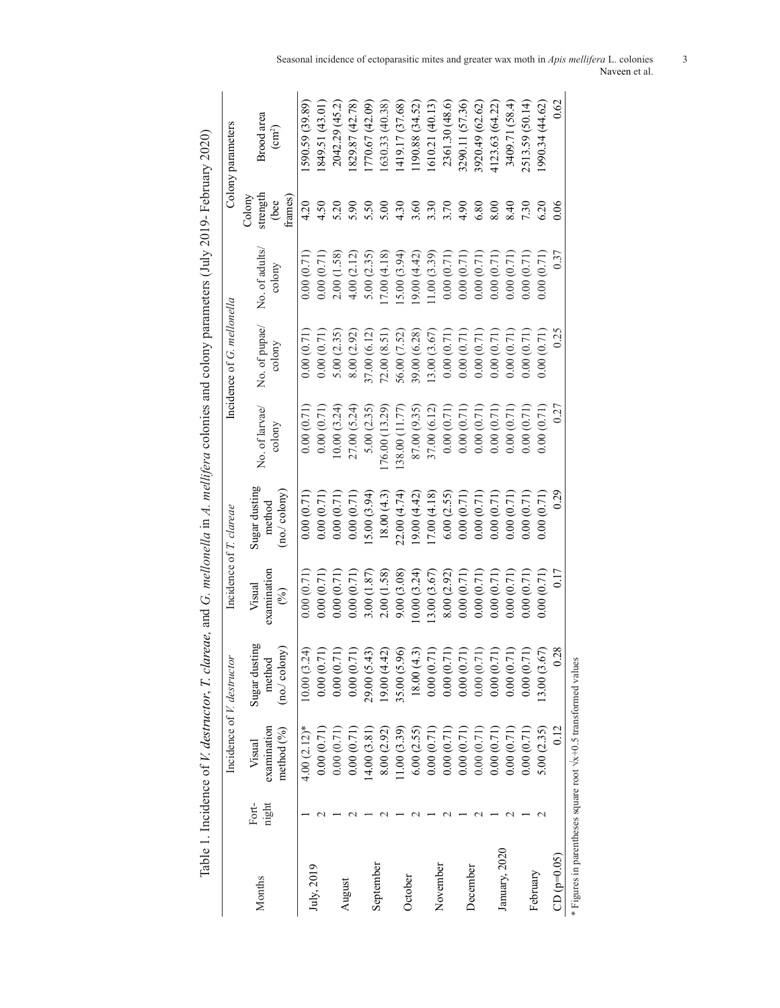| )<br>}                                                      |  |
|-------------------------------------------------------------|--|
|                                                             |  |
| !<br>-                                                      |  |
|                                                             |  |
| i<br>$\frac{1}{2}$                                          |  |
|                                                             |  |
|                                                             |  |
|                                                             |  |
|                                                             |  |
| ו<br>ו                                                      |  |
| $\frac{1}{2}$                                               |  |
|                                                             |  |
|                                                             |  |
| $\frac{1}{2}$                                               |  |
| ו<br>ג                                                      |  |
| $\frac{1}{2}$                                               |  |
|                                                             |  |
|                                                             |  |
|                                                             |  |
|                                                             |  |
|                                                             |  |
|                                                             |  |
|                                                             |  |
|                                                             |  |
|                                                             |  |
|                                                             |  |
|                                                             |  |
|                                                             |  |
| $\overline{ }$                                              |  |
| יס המינויים בין היינים בין המינויים בין המינויים.<br>היינים |  |
|                                                             |  |
| $\frac{1}{2}$                                               |  |
|                                                             |  |
|                                                             |  |
|                                                             |  |
|                                                             |  |
|                                                             |  |
|                                                             |  |
|                                                             |  |
|                                                             |  |
|                                                             |  |
|                                                             |  |
|                                                             |  |
|                                                             |  |
|                                                             |  |
|                                                             |  |
|                                                             |  |
|                                                             |  |
|                                                             |  |
|                                                             |  |
|                                                             |  |
|                                                             |  |
|                                                             |  |
| ו איי וו היי הו                                             |  |
|                                                             |  |
|                                                             |  |
|                                                             |  |
|                                                             |  |
|                                                             |  |
|                                                             |  |
|                                                             |  |
|                                                             |  |
|                                                             |  |
|                                                             |  |
|                                                             |  |
|                                                             |  |
|                                                             |  |
|                                                             |  |
|                                                             |  |
| $\overline{\zeta}$                                          |  |
|                                                             |  |
| $\frac{1}{2}$                                               |  |
|                                                             |  |
|                                                             |  |
|                                                             |  |
| in and I an all                                             |  |
|                                                             |  |
|                                                             |  |
|                                                             |  |
|                                                             |  |
|                                                             |  |
|                                                             |  |
| $\mathcal{L}$                                               |  |
| į<br>ř                                                      |  |
|                                                             |  |
|                                                             |  |
|                                                             |  |
|                                                             |  |
|                                                             |  |
|                                                             |  |
|                                                             |  |
|                                                             |  |
|                                                             |  |
| i                                                           |  |
|                                                             |  |
|                                                             |  |
|                                                             |  |
|                                                             |  |
|                                                             |  |
|                                                             |  |
|                                                             |  |
|                                                             |  |
|                                                             |  |
|                                                             |  |
|                                                             |  |
|                                                             |  |
|                                                             |  |
|                                                             |  |
| J                                                           |  |
| ļ                                                           |  |

|                                                                        |                |                                     | Incidence of <i>V. destructor</i>         | Incidence of T. clareae         |                                        |                                   | Incidence of G. mellonella |                          |                                       | Colony parameters                |
|------------------------------------------------------------------------|----------------|-------------------------------------|-------------------------------------------|---------------------------------|----------------------------------------|-----------------------------------|----------------------------|--------------------------|---------------------------------------|----------------------------------|
| Months                                                                 | Fort-<br>night | examination<br>method (%)<br>Visual | Sugar dusting<br>(no. / colony)<br>method | examination<br>Visual<br>$(\%)$ | Sugar dusting<br>[no/colony]<br>method | No. of larvae/<br>$\text{colony}$ | No. of pupae/<br>colony    | No. of adults/<br>colony | strength<br>frames)<br>Colony<br>(bee | Brood area<br>(cm <sup>2</sup> ) |
| July, 2019                                                             |                | $4.00(2.12)$ *                      | (1, 24)<br>10.00(3)                       | 0.00(0.71)                      | 0.00(0.71)                             | 0.00(0.71)                        | 0.00(0.71)                 | 0.00(0.71)               | 4.20                                  | 590.59 (39.89)                   |
|                                                                        |                | 0.00(0.71)                          | (1)<br>0.00(0)                            | 0.00(0.71)                      | 0.00(0.71)                             | 0.00(0.71)                        | 0.00(0.71)                 | 0.00(0.71)               | 4.50                                  | 849.51 (43.01)                   |
|                                                                        |                | 0.00(0.71)                          | (1, 7)<br>0.00(0.                         | 0.00(0.71)                      | 0.00(0.71)                             | 0.00(3.24)                        | 5.00(2.35)                 | 2.00(1.58)               | 5.20                                  | 2042.29 (45.2)                   |
| August                                                                 |                | 0.00(0.71)                          | 0.00(0.71)                                | 0.00(0.71)                      | 0.00(0.71)                             | 27.00 (5.24)                      | 8.00(2.92)                 | 4.00(2.12)               | 5.90                                  | 829.87 (42.78)                   |
|                                                                        |                | (4.00(3.81)                         | $\overline{43}$<br>29.00 (5               | 3.00(1.87)                      | 5.00(3.94)                             | 5.00(2.35)                        | 37.00 (6.12)               | 5.00(2.35)               | 5.50                                  | (770.67(42.09))                  |
| September                                                              |                | 8.00 (2.92)                         | (9.00(4.42)                               | 2.00(1.58)                      | 18.00(4.3)                             | 76.00 (13.29)                     | 2.00(8.51)                 | 7.00(4.18)               | 5.00                                  | (630.33(40.38))                  |
|                                                                        |                | (1.00(3.39))                        | 35.00 (5.96)                              | 9.00(3.08)                      | 22.00 (4.74)                           | 38.00 (11.77)                     | (6.00 (7.52))              | 5.00(3.94)               | 4.30                                  | (419.17 (37.68)                  |
| October                                                                |                | 6.00(2.55)                          | 18.00(4.3)                                | 0.00(3.24)                      | (9.00(4.42))                           | 87.00 (9.35)                      | $(8.20)$ $(6.28)$          | 9.00(4.42)               | 3.60                                  | 190.88 (34.52)                   |
| November                                                               |                | 0.00(0.71)                          | 0.00(0.71)                                | 3.00(3.67)                      | 7.00(4.18)                             | 37.00 (6.12)                      | 3.00(3.67)                 | 1.00(3.39)               | 3.30                                  | (610.21(40.13))                  |
|                                                                        |                | 0.00(0.71)                          | $\Xi$<br>0.00(0.                          | 8.00(2.92)                      | 6.00(2.55)                             | 0.00(0.71)                        | 0.00(0.71)                 | 0.00(0.71)               | 3.70                                  | 2361.30 (48.6)                   |
| December                                                               |                | 0.00(0.71)                          | $\Xi$<br>0.00(0.                          | 0.00(0.71)                      | 0.00(0.71)                             | 0.00(0.71)                        | 0.00(0.71)                 | 0.00(0.71)               | 4.90                                  | 3290.11 (57.36)                  |
|                                                                        |                | 0.00(0.71)                          | $\left(1\right)$<br>0.00(0.               | 0.00(0.71)                      | 0.00(0.71)                             | 0.00(0.71)                        | 0.00(0.71)                 | 0.00(0.71)               | 6.80                                  | 3920.49 (62.62)                  |
|                                                                        |                | 0.00(0.71)                          | (17)<br>0.00(0.                           | 0.00(0.71)                      | 0.00(0.71)                             | 0.00(0.71)                        | 0.00(0.71)                 | 0.00(0.71)               | 8.00                                  | 4123.63 (64.22)                  |
| January, 2020                                                          |                | 0.00(0.71)                          | (17)<br>0.00(0.                           | 0.00(0.71)                      | 0.00(0.71)                             | 0.00(0.71)                        | 0.00(0.71)                 | 0.00(0.71)               | 8.40                                  | 3409.71 (58.4)                   |
| February                                                               |                | 0.00(0.71)                          | $\overline{71})$<br>0.00(0)               | 0.00(0.71)                      | 0.00(0.71)                             | 0.00(0.71)                        | 0.00(0.71)                 | 0.00(0.71)               | 7.30                                  | 2513.59 (50.14)                  |
|                                                                        |                | 5.00(2.35)                          | 67)<br>13.00(3)                           | 0.00(0.71)                      | 0.00(0.71)                             | 0.00(0.71)                        | 0.00(0.71)                 | 0.00(0.71)               | 6.20                                  | 1990.34(44.62)                   |
| $CD (p=0.05)$                                                          |                | 0.12                                | 0.28                                      | 0.17                            | 0.29                                   | 0.27                              | 0.25                       | 0.37                     | 0.06                                  | 0.62                             |
| * Figures in parentheses square root $\sqrt{x+0.5}$ transformed values |                |                                     |                                           |                                 |                                        |                                   |                            |                          |                                       |                                  |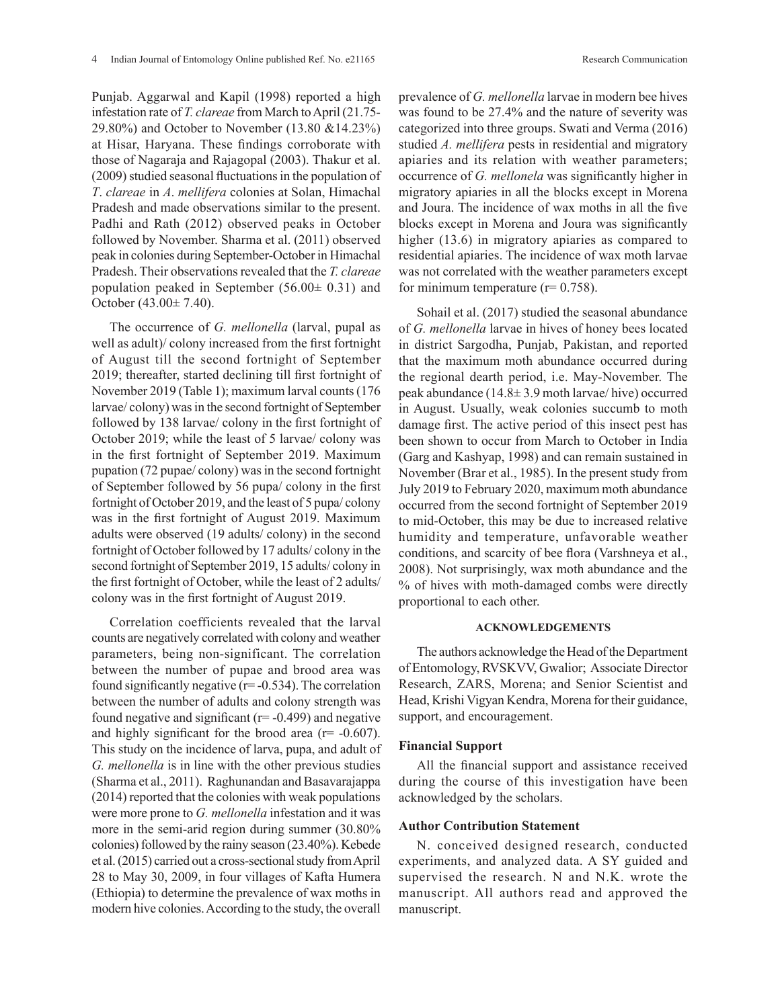Punjab. Aggarwal and Kapil (1998) reported a high infestation rate of *T. clareae* from March to April (21.75- 29.80%) and October to November (13.80 &14.23%) at Hisar, Haryana. These findings corroborate with those of Nagaraja and Rajagopal (2003). Thakur et al. (2009) studied seasonal fluctuations in the population of *T*. *clareae* in *A*. *mellifera* colonies at Solan, Himachal Pradesh and made observations similar to the present. Padhi and Rath (2012) observed peaks in October followed by November. Sharma et al. (2011) observed peak in colonies during September-October in Himachal Pradesh. Their observations revealed that the *T. clareae*  population peaked in September  $(56.00 \pm 0.31)$  and October (43.00± 7.40).

The occurrence of *G. mellonella* (larval, pupal as well as adult)/ colony increased from the first fortnight of August till the second fortnight of September 2019; thereafter, started declining till first fortnight of November 2019 (Table 1); maximum larval counts (176 larvae/ colony) was in the second fortnight of September followed by 138 larvae/ colony in the first fortnight of October 2019; while the least of 5 larvae/ colony was in the first fortnight of September 2019. Maximum pupation (72 pupae/ colony) was in the second fortnight of September followed by 56 pupa/ colony in the first fortnight of October 2019, and the least of 5 pupa/ colony was in the first fortnight of August 2019. Maximum adults were observed (19 adults/ colony) in the second fortnight of October followed by 17 adults/ colony in the second fortnight of September 2019, 15 adults/ colony in the first fortnight of October, while the least of 2 adults/ colony was in the first fortnight of August 2019.

Correlation coefficients revealed that the larval counts are negatively correlated with colony and weather parameters, being non-significant. The correlation between the number of pupae and brood area was found significantly negative  $(r=-0.534)$ . The correlation between the number of adults and colony strength was found negative and significant  $(r=-0.499)$  and negative and highly significant for the brood area  $(r = -0.607)$ . This study on the incidence of larva, pupa, and adult of *G. mellonella* is in line with the other previous studies (Sharma et al., 2011). Raghunandan and Basavarajappa (2014) reported that the colonies with weak populations were more prone to *G. mellonella* infestation and it was more in the semi-arid region during summer (30.80% colonies) followed by the rainy season (23.40%). Kebede et al.(2015) carried out a cross-sectional study from April 28 to May 30, 2009, in four villages of Kafta Humera (Ethiopia) to determine the prevalence of wax moths in modern hive colonies. According to the study, the overall

prevalence of *G. mellonella* larvae in modern bee hives was found to be 27.4% and the nature of severity was categorized into three groups. Swati and Verma (2016) studied *A. mellifera* pests in residential and migratory apiaries and its relation with weather parameters; occurrence of *G. mellonela* was significantly higher in migratory apiaries in all the blocks except in Morena and Joura. The incidence of wax moths in all the five blocks except in Morena and Joura was significantly higher (13.6) in migratory apiaries as compared to residential apiaries. The incidence of wax moth larvae was not correlated with the weather parameters except for minimum temperature  $(r= 0.758)$ .

Sohail et al. (2017) studied the seasonal abundance of *G. mellonella* larvae in hives of honey bees located in district Sargodha, Punjab, Pakistan, and reported that the maximum moth abundance occurred during the regional dearth period, i.e. May-November. The peak abundance (14.8± 3.9 moth larvae/ hive) occurred in August. Usually, weak colonies succumb to moth damage first. The active period of this insect pest has been shown to occur from March to October in India (Garg and Kashyap, 1998) and can remain sustained in November (Brar et al., 1985). In the present study from July 2019 to February 2020, maximum moth abundance occurred from the second fortnight of September 2019 to mid-October, this may be due to increased relative humidity and temperature, unfavorable weather conditions, and scarcity of bee flora (Varshneya et al., 2008). Not surprisingly, wax moth abundance and the % of hives with moth-damaged combs were directly proportional to each other.

## **ACKNOWLEDGEMENTS**

The authors acknowledge the Head of the Department of Entomology, RVSKVV, Gwalior; Associate Director Research, ZARS, Morena; and Senior Scientist and Head, Krishi Vigyan Kendra, Morena for their guidance, support, and encouragement.

## **Financial Support**

All the financial support and assistance received during the course of this investigation have been acknowledged by the scholars.

# **Author Contribution Statement**

N. conceived designed research, conducted experiments, and analyzed data. A SY guided and supervised the research. N and N.K. wrote the manuscript. All authors read and approved the manuscript.